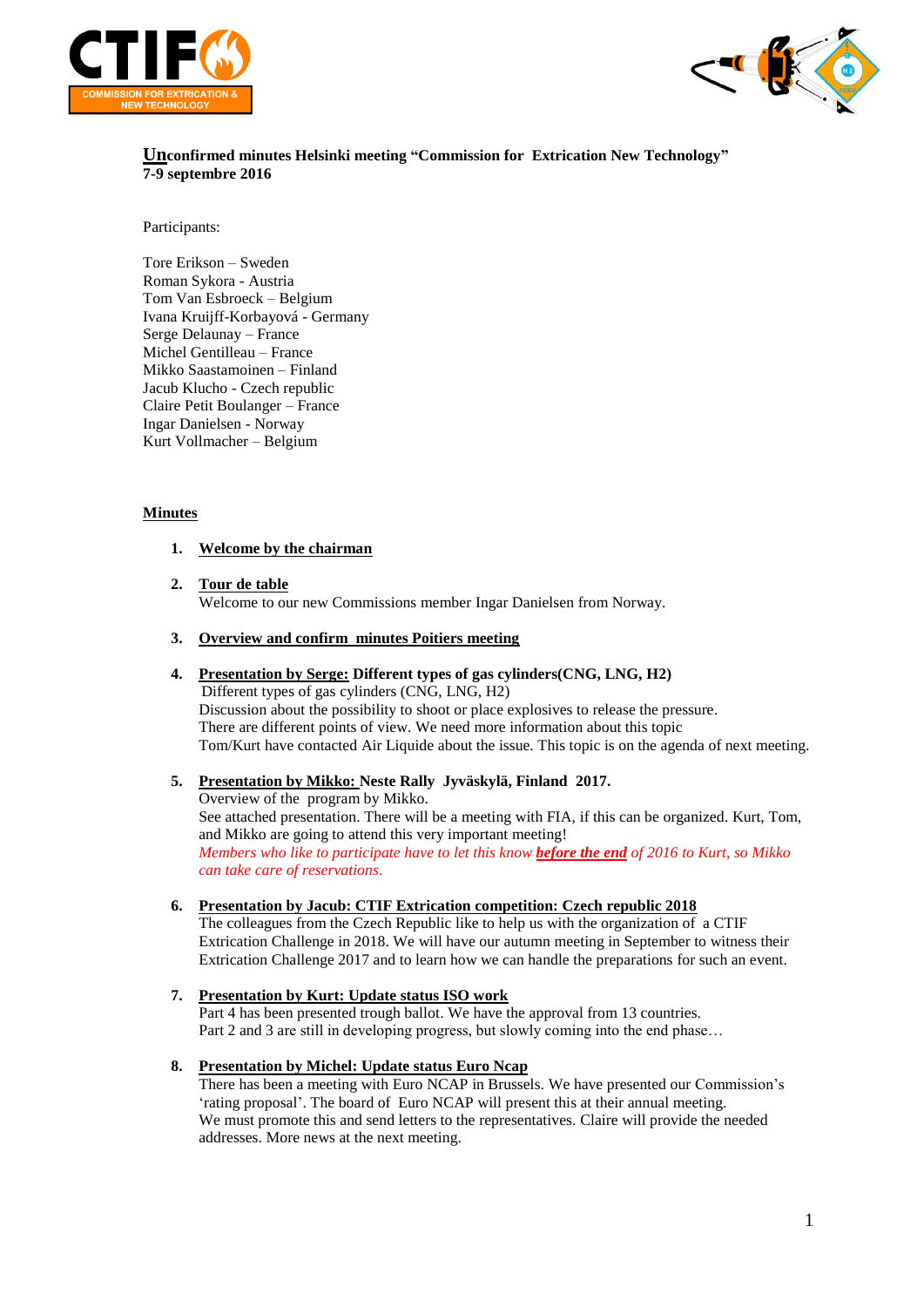



**Unconfirmed minutes Helsinki meeting "Commission for Extrication New Technology" 7-9 septembre 2016**

### Participants:

Tore Erikson – Sweden Roman Sykora - Austria Tom Van Esbroeck – Belgium Ivana Kruijff-Korbayová - Germany Serge Delaunay – France Michel Gentilleau – France Mikko Saastamoinen – Finland Jacub Klucho - Czech republic Claire Petit Boulanger – France Ingar Danielsen - Norway Kurt Vollmacher – Belgium

### **Minutes**

### **1. Welcome by the chairman**

- **2. Tour de table** Welcome to our new Commissions member Ingar Danielsen from Norway.
- **3. Overview and confirm minutes Poitiers meeting**
- **4. Presentation by Serge: Different types of gas cylinders(CNG, LNG, H2)**

 Different types of gas cylinders (CNG, LNG, H2) Discussion about the possibility to shoot or place explosives to release the pressure. There are different points of view. We need more information about this topic Tom/Kurt have contacted Air Liquide about the issue. This topic is on the agenda of next meeting.

**5. Presentation by Mikko: Neste Rally Jyväskylä, Finland 2017.**

Overview of the program by Mikko. See attached presentation. There will be a meeting with FIA, if this can be organized. Kurt, Tom, and Mikko are going to attend this very important meeting! *Members who like to participate have to let this know before the end of 2016 to Kurt, so Mikko can take care of reservations*.

**6. Presentation by Jacub: CTIF Extrication competition: Czech republic 2018**

The colleagues from the Czech Republic like to help us with the organization of a CTIF Extrication Challenge in 2018. We will have our autumn meeting in September to witness their Extrication Challenge 2017 and to learn how we can handle the preparations for such an event.

**7. Presentation by Kurt: Update status ISO work** Part 4 has been presented trough ballot. We have the approval from 13 countries. Part 2 and 3 are still in developing progress, but slowly coming into the end phase…

### **8. Presentation by Michel: Update status Euro Ncap**

There has been a meeting with Euro NCAP in Brussels. We have presented our Commission's 'rating proposal'. The board of Euro NCAP will present this at their annual meeting. We must promote this and send letters to the representatives. Claire will provide the needed addresses. More news at the next meeting.